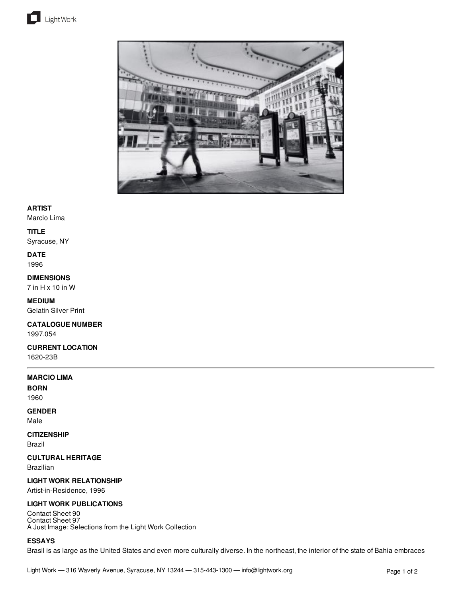



## **ARTIST**

Marcio Lima

#### **TITLE**

Syracuse, NY

## **DATE**

1996

## **DIMENSIONS**

7 in H x 10 in W

### **MEDIUM** Gelatin Silver Print

#### **CATALOGUE NUMBER** 1997.054

#### **CURRENT LOCATION** 1620-23B

## **MARCIO LIMA**

**BORN**

## 1960

**GENDER**

# Male

**CITIZENSHIP** Brazil

#### **CULTURAL HERITAGE**

Brazilian

#### **LIGHT WORK RELATIONSHIP**

Artist-in-Residence, 1996

#### **LIGHT WORK PUBLICATIONS**

Contact Sheet 90 Contact Sheet 97 A Just Image: Selections from the Light Work Collection

#### **ESSAYS**

Brasil is as large as the United States and even more culturally diverse. In the northeast, the interior of the state of Bahia embraces